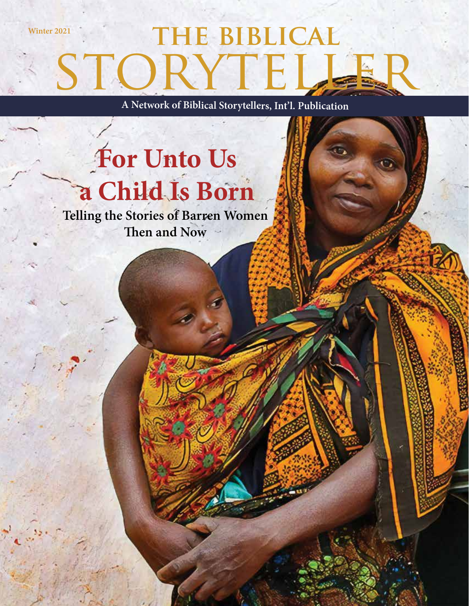# STORYTELL Winter 2021 **THE BIBLICAL**

**A Network of Biblical Storytellers, Int'l. Publication**

# **For Unto Us a Child Is Born**

**Telling the Stories of Barren Women Then and Now**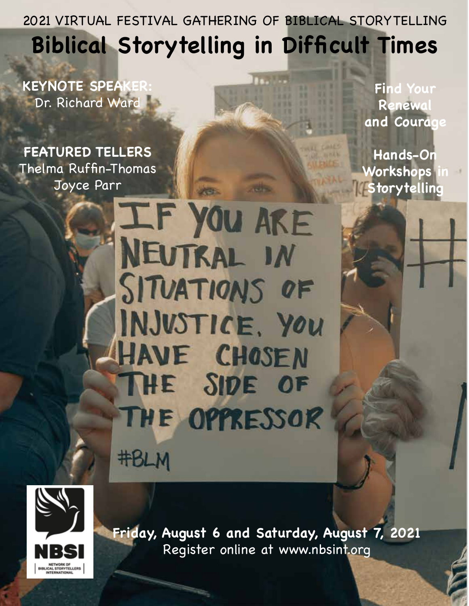2021 VIRTUAL FESTIVAL GATHERING OF BIBLICAL STORYTELLING **Biblical Storytelling in Difficult Times**

**KEYNOTE SPEAK** Dr. Richard Ward

**FEATURED TELLERS** Thelma Ruffin-Thomas Joyce Parr

**Find Your Renewal and Courage**

**Hands-On Workshops Storytelling**

IF YOU ARE **NEUTRAL IN** SITUATIONS OF INJUSTICE, YOU HAVE CHOSEN THE SIDE OF THE OPPRESSOR **#BLM** 



**Friday, August 6 and Saturday, August 7, 2021**  Register online at www.nbsint.org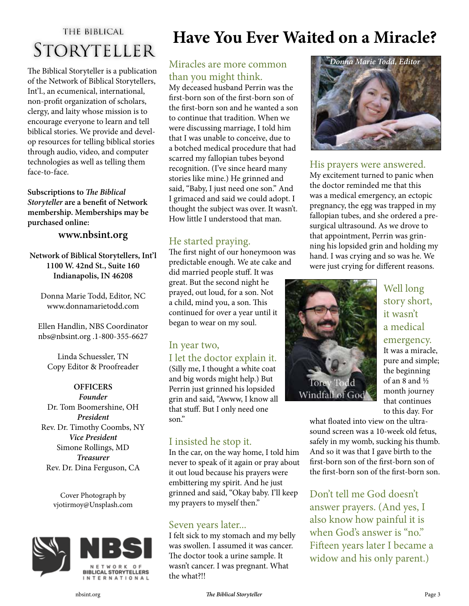## THE BIBLICAL **STORYTELLER**

The Biblical Storyteller is a publication of the Network of Biblical Storytellers, Int'l., an ecumenical, international, non-profit organization of scholars, clergy, and laity whose mission is to encourage everyone to learn and tell biblical stories. We provide and develop resources for telling biblical stories through audio, video, and computer technologies as well as telling them face-to-face.

**Subscriptions to** *The Biblical Storyteller* **are a benefit of Network membership. Memberships may be purchased online:** 

**www.nbsint.org**

**Network of Biblical Storytellers, Int'l 1100 W. 42nd St., Suite 160 Indianapolis, IN 46208**

Donna Marie Todd, Editor, NC www.donnamarietodd.com

Ellen Handlin, NBS Coordinator nbs@nbsint.org .1-800-355-6627

Linda Schuessler, TN Copy Editor & Proofreader

**OFFICERS** *Founder* Dr. Tom Boomershine, OH *President* Rev. Dr. Timothy Coombs, NY *Vice President* Simone Rollings, MD *Treasurer* Rev. Dr. Dina Ferguson, CA

> Cover Photograph by vjotirmoy@Unsplash.com





# **Have You Ever Waited on a Miracle?**

#### Miracles are more common than you might think.

My deceased husband Perrin was the first-born son of the first-born son of the first-born son and he wanted a son to continue that tradition. When we were discussing marriage, I told him that I was unable to conceive, due to a botched medical procedure that had scarred my fallopian tubes beyond recognition. (I've since heard many stories like mine.) He grinned and said, "Baby, I just need one son." And I grimaced and said we could adopt. I thought the subject was over. It wasn't. How little I understood that man.

#### He started praying.

The first night of our honeymoon was predictable enough. We ate cake and did married people stuff. It was great. But the second night he prayed, out loud, for a son. Not a child, mind you, a son. This continued for over a year until it began to wear on my soul.

#### In year two,

## I let the doctor explain it.

(Silly me, I thought a white coat and big words might help.) But Perrin just grinned his lopsided grin and said, "Awww, I know all that stuff. But I only need one son"

#### I insisted he stop it.

In the car, on the way home, I told him never to speak of it again or pray about it out loud because his prayers were embittering my spirit. And he just grinned and said, "Okay baby. I'll keep my prayers to myself then."

#### Seven years later...

I felt sick to my stomach and my belly was swollen. I assumed it was cancer. The doctor took a urine sample. It wasn't cancer. I was pregnant. What the what?!!



#### His prayers were answered.

My excitement turned to panic when the doctor reminded me that this was a medical emergency, an ectopic pregnancy, the egg was trapped in my fallopian tubes, and she ordered a presurgical ultrasound. As we drove to that appointment, Perrin was grinning his lopsided grin and holding my hand. I was crying and so was he. We were just crying for different reasons.



Well long story short, it wasn't a medical emergency. It was a miracle, pure and simple; the beginning of an 8 and ½ month journey that continues to this day. For

what floated into view on the ultrasound screen was a 10-week old fetus, safely in my womb, sucking his thumb. And so it was that I gave birth to the first-born son of the first-born son of the first-born son of the first-born son.

Don't tell me God doesn't answer prayers. (And yes, I also know how painful it is when God's answer is "no." Fifteen years later I became a widow and his only parent.)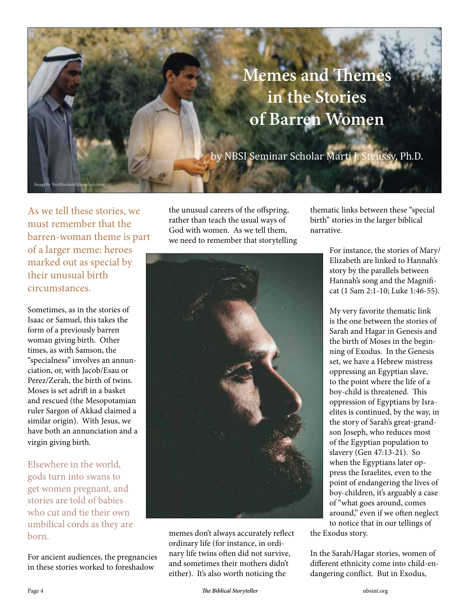

As we tell these stories, we must remember that the barren-woman theme is part of a larger meme: heroes marked out as special by their unusual birth circumstances.

Sometimes, as in the stories of Isaac or Samuel, this takes the form of a previously barren woman giving birth. Other times, as with Samson, the "specialness" involves an annunciation, or, with Jacob/Esau or Perez/Zerah, the birth of twins. Moses is set adrift in a basket and rescued (the Mesopotamian ruler Sargon of Akkad claimed a similar origin). With Jesus, we have both an annunciation and a virgin giving birth.

Elsewhere in the world, gods turn into swans to get women pregnant, and stories are told of babies who cut and tie their own umbilical cords as they are born.

For ancient audiences, the pregnancies in these stories worked to foreshadow

the unusual careers of the offspring, rather than teach the usual ways of God with women. As we tell them, we need to remember that storytelling



memes don't always accurately reflect ordinary life (for instance, in ordinary life twins often did not survive, and sometimes their mothers didn't either). It's also worth noticing the

thematic links between these "special birth" stories in the larger biblical narrative.

> For instance, the stories of Mary/ Elizabeth are linked to Hannah's story by the parallels between Hannah's song and the Magnificat (1 Sam 2:1-10; Luke 1:46-55).

> My very favorite thematic link is the one between the stories of Sarah and Hagar in Genesis and the birth of Moses in the beginning of Exodus. In the Genesis set, we have a Hebrew mistress oppressing an Egyptian slave, to the point where the life of a boy-child is threatened. This oppression of Egyptians by Israelites is continued, by the way, in the story of Sarah's great-grandson Joseph, who reduces most of the Egyptian population to slavery (Gen 47:13-21). So when the Egyptians later oppress the Israelites, even to the point of endangering the lives of boy-children, it's arguably a case of "what goes around, comes around," even if we often neglect to notice that in our tellings of

the Exodus story.

In the Sarah/Hagar stories, women of different ethnicity come into child-endangering conflict. But in Exodus,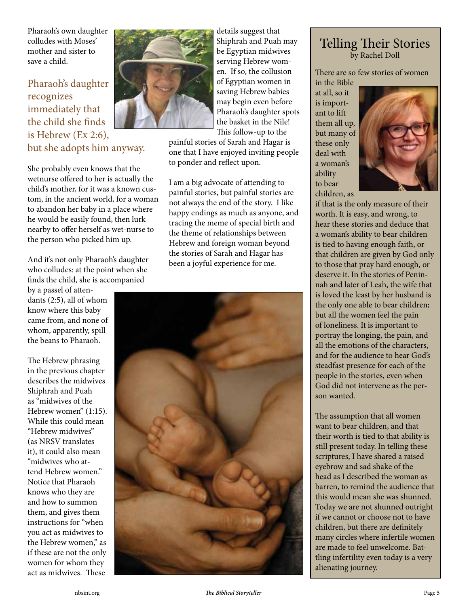Pharaoh's own daughter colludes with Moses' mother and sister to save a child.

#### Pharaoh's daughter recognizes immediately that the child she finds is Hebrew (Ex 2:6), but she adopts him anyway.

She probably even knows that the wetnurse offered to her is actually the child's mother, for it was a known custom, in the ancient world, for a woman to abandon her baby in a place where he would be easily found, then lurk nearby to offer herself as wet-nurse to the person who picked him up.

And it's not only Pharaoh's daughter who colludes: at the point when she finds the child, she is accompanied

by a passel of attendants (2:5), all of whom know where this baby came from, and none of whom, apparently, spill the beans to Pharaoh.

The Hebrew phrasing in the previous chapter describes the midwives Shiphrah and Puah as "midwives of the Hebrew women" (1:15). While this could mean "Hebrew midwives" (as NRSV translates it), it could also mean "midwives who attend Hebrew women." Notice that Pharaoh knows who they are and how to summon them, and gives them instructions for "when you act as midwives to the Hebrew women," as if these are not the only women for whom they act as midwives. These



details suggest that Shiphrah and Puah may be Egyptian midwives serving Hebrew women. If so, the collusion of Egyptian women in saving Hebrew babies may begin even before Pharaoh's daughter spots the basket in the Nile! This follow-up to the

painful stories of Sarah and Hagar is one that I have enjoyed inviting people to ponder and reflect upon.

I am a big advocate of attending to painful stories, but painful stories are not always the end of the story. I like happy endings as much as anyone, and tracing the meme of special birth and the theme of relationships between Hebrew and foreign woman beyond the stories of Sarah and Hagar has been a joyful experience for me.



#### Telling Their Stories by Rachel Doll

There are so few stories of women in the Bible

at all, so it is important to lift them all up, but many of these only deal with a woman's ability to bear children, as



if that is the only measure of their worth. It is easy, and wrong, to hear these stories and deduce that a woman's ability to bear children is tied to having enough faith, or that children are given by God only to those that pray hard enough, or deserve it. In the stories of Peninnah and later of Leah, the wife that is loved the least by her husband is the only one able to bear children; but all the women feel the pain of loneliness. It is important to portray the longing, the pain, and all the emotions of the characters, and for the audience to hear God's steadfast presence for each of the people in the stories, even when God did not intervene as the person wanted.

The assumption that all women want to bear children, and that their worth is tied to that ability is still present today. In telling these scriptures, I have shared a raised eyebrow and sad shake of the head as I described the woman as barren, to remind the audience that this would mean she was shunned. Today we are not shunned outright if we cannot or choose not to have children, but there are definitely many circles where infertile women are made to feel unwelcome. Battling infertility even today is a very alienating journey.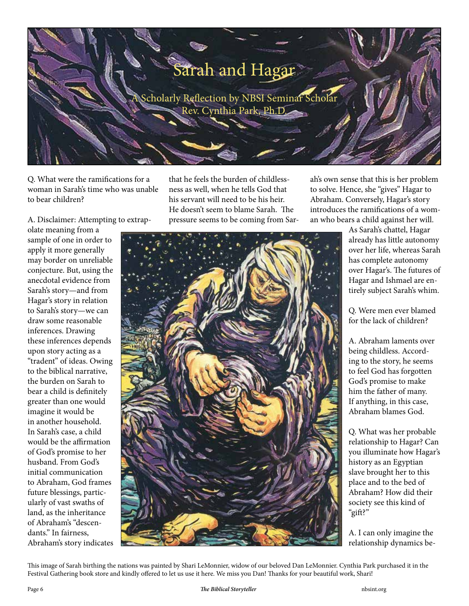

Q. What were the ramifications for a woman in Sarah's time who was unable to bear children?

A. Disclaimer: Attempting to extrap-

olate meaning from a sample of one in order to apply it more generally may border on unreliable conjecture. But, using the anecdotal evidence from Sarah's story—and from Hagar's story in relation to Sarah's story—we can draw some reasonable inferences. Drawing these inferences depends upon story acting as a "tradent" of ideas. Owing to the biblical narrative, the burden on Sarah to bear a child is definitely greater than one would imagine it would be in another household. In Sarah's case, a child would be the affirmation of God's promise to her husband. From God's initial communication to Abraham, God frames future blessings, particularly of vast swaths of land, as the inheritance of Abraham's "descendants." In fairness, Abraham's story indicates

that he feels the burden of childlessness as well, when he tells God that his servant will need to be his heir. He doesn't seem to blame Sarah. The pressure seems to be coming from Sarah's own sense that this is her problem to solve. Hence, she "gives" Hagar to Abraham. Conversely, Hagar's story introduces the ramifications of a woman who bears a child against her will.

As Sarah's chattel, Hagar already has little autonomy over her life, whereas Sarah has complete autonomy over Hagar's. The futures of Hagar and Ishmael are entirely subject Sarah's whim.

Q. Were men ever blamed for the lack of children?

A. Abraham laments over being childless. According to the story, he seems to feel God has forgotten God's promise to make him the father of many. If anything, in this case, Abraham blames God.

Q. What was her probable relationship to Hagar? Can you illuminate how Hagar's history as an Egyptian slave brought her to this place and to the bed of Abraham? How did their society see this kind of "gift?"

A. I can only imagine the relationship dynamics be-

This image of Sarah birthing the nations was painted by Shari LeMonnier, widow of our beloved Dan LeMonnier. Cynthia Park purchased it in the Festival Gathering book store and kindly offered to let us use it here. We miss you Dan! Thanks for your beautiful work, Shari!

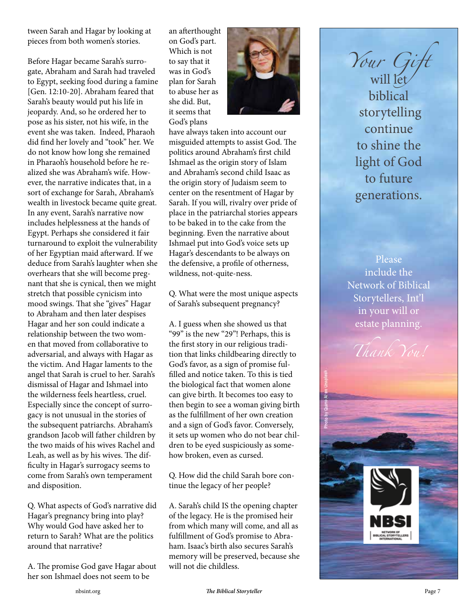tween Sarah and Hagar by looking at pieces from both women's stories.

Before Hagar became Sarah's surrogate, Abraham and Sarah had traveled to Egypt, seeking food during a famine [Gen. 12:10-20]. Abraham feared that Sarah's beauty would put his life in jeopardy. And, so he ordered her to pose as his sister, not his wife, in the event she was taken. Indeed, Pharaoh did find her lovely and "took" her. We do not know how long she remained in Pharaoh's household before he realized she was Abraham's wife. However, the narrative indicates that, in a sort of exchange for Sarah, Abraham's wealth in livestock became quite great. In any event, Sarah's narrative now includes helplessness at the hands of Egypt. Perhaps she considered it fair turnaround to exploit the vulnerability of her Egyptian maid afterward. If we deduce from Sarah's laughter when she overhears that she will become pregnant that she is cynical, then we might stretch that possible cynicism into mood swings. That she "gives" Hagar to Abraham and then later despises Hagar and her son could indicate a relationship between the two women that moved from collaborative to adversarial, and always with Hagar as the victim. And Hagar laments to the angel that Sarah is cruel to her. Sarah's dismissal of Hagar and Ishmael into the wilderness feels heartless, cruel. Especially since the concept of surrogacy is not unusual in the stories of the subsequent patriarchs. Abraham's grandson Jacob will father children by the two maids of his wives Rachel and Leah, as well as by his wives. The difficulty in Hagar's surrogacy seems to come from Sarah's own temperament and disposition.

Q. What aspects of God's narrative did Hagar's pregnancy bring into play? Why would God have asked her to return to Sarah? What are the politics around that narrative?

A. The promise God gave Hagar about her son Ishmael does not seem to be

an afterthought on God's part. Which is not to say that it was in God's plan for Sarah to abuse her as she did. But, it seems that God's plans



have always taken into account our misguided attempts to assist God. The politics around Abraham's first child Ishmael as the origin story of Islam and Abraham's second child Isaac as the origin story of Judaism seem to center on the resentment of Hagar by Sarah. If you will, rivalry over pride of place in the patriarchal stories appears to be baked in to the cake from the beginning. Even the narrative about Ishmael put into God's voice sets up Hagar's descendants to be always on the defensive, a profile of otherness, wildness, not-quite-ness.

Q. What were the most unique aspects of Sarah's subsequent pregnancy?

A. I guess when she showed us that "99" is the new "29"! Perhaps, this is the first story in our religious tradition that links childbearing directly to God's favor, as a sign of promise fulfilled and notice taken. To this is tied the biological fact that women alone can give birth. It becomes too easy to then begin to see a woman giving birth as the fulfillment of her own creation and a sign of God's favor. Conversely, it sets up women who do not bear children to be eyed suspiciously as somehow broken, even as cursed.

Q. How did the child Sarah bore continue the legacy of her people?

A. Sarah's child IS the opening chapter of the legacy. He is the promised heir from which many will come, and all as fulfillment of God's promise to Abraham. Isaac's birth also secures Sarah's memory will be preserved, because she will not die childless.

*Your Gift* will let biblical storytelling continue to shine the light of God to future generations.

Please include the Network of Biblical Storytellers, Int'l in your will or estate planning.



nbsint.org *The Biblical Storyteller* Page 7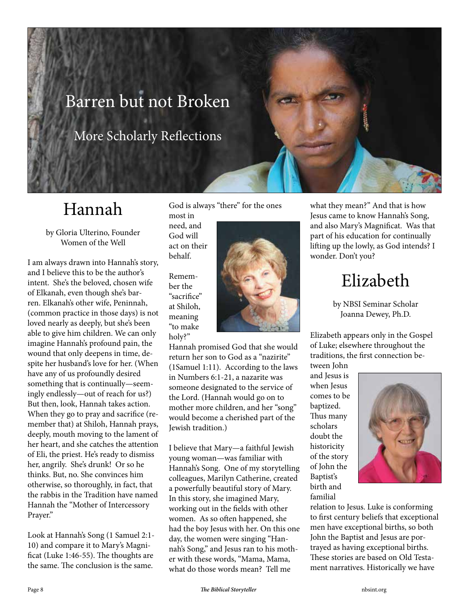# Barren but not Broken

More Scholarly Reflections

# Hannah

by Gloria Ulterino, Founder Women of the Well

I am always drawn into Hannah's story, and I believe this to be the author's intent. She's the beloved, chosen wife of Elkanah, even though she's barren. Elkanah's other wife, Peninnah, (common practice in those days) is not loved nearly as deeply, but she's been able to give him children. We can only imagine Hannah's profound pain, the wound that only deepens in time, despite her husband's love for her. (When have any of us profoundly desired something that is continually—seemingly endlessly—out of reach for us?) But then, look, Hannah takes action. When they go to pray and sacrifice (remember that) at Shiloh, Hannah prays, deeply, mouth moving to the lament of her heart, and she catches the attention of Eli, the priest. He's ready to dismiss her, angrily. She's drunk! Or so he thinks. But, no. She convinces him otherwise, so thoroughly, in fact, that the rabbis in the Tradition have named Hannah the "Mother of Intercessory Prayer."

Look at Hannah's Song (1 Samuel 2:1- 10) and compare it to Mary's Magnificat (Luke 1:46-55). The thoughts are the same. The conclusion is the same.

God is always "there" for the ones most in

need, and God will act on their behalf.

Remember the "sacrifice" at Shiloh, meaning "to make holy?"



Hannah promised God that she would return her son to God as a "nazirite" (1Samuel 1:11). According to the laws in Numbers 6:1-21, a nazarite was someone designated to the service of the Lord. (Hannah would go on to mother more children, and her "song" would become a cherished part of the Jewish tradition.)

I believe that Mary—a faithful Jewish young woman—was familiar with Hannah's Song. One of my storytelling colleagues, Marilyn Catherine, created a powerfully beautiful story of Mary. In this story, she imagined Mary, working out in the fields with other women. As so often happened, she had the boy Jesus with her. On this one day, the women were singing "Hannah's Song," and Jesus ran to his mother with these words, "Mama, Mama, what do those words mean? Tell me

what they mean?" And that is how Jesus came to know Hannah's Song, and also Mary's Magnificat. Was that part of his education for continually lifting up the lowly, as God intends? I wonder. Don't you?

# Elizabeth

by NBSI Seminar Scholar Joanna Dewey, Ph.D.

Elizabeth appears only in the Gospel of Luke; elsewhere throughout the traditions, the first connection be-

tween John and Jesus is when Jesus comes to be baptized. Thus many scholars doubt the historicity of the story of John the Baptist's birth and familial



relation to Jesus. Luke is conforming to first century beliefs that exceptional men have exceptional births, so both John the Baptist and Jesus are portrayed as having exceptional births. These stories are based on Old Testament narratives. Historically we have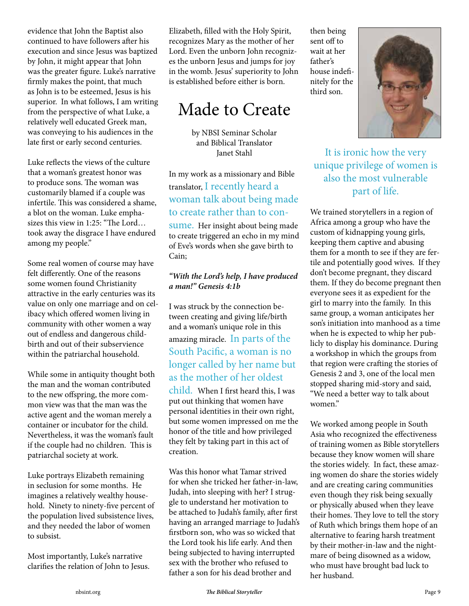evidence that John the Baptist also continued to have followers after his execution and since Jesus was baptized by John, it might appear that John was the greater figure. Luke's narrative firmly makes the point, that much as John is to be esteemed, Jesus is his superior. In what follows, I am writing from the perspective of what Luke, a relatively well educated Greek man, was conveying to his audiences in the late first or early second centuries.

Luke reflects the views of the culture that a woman's greatest honor was to produce sons. The woman was customarily blamed if a couple was infertile. This was considered a shame, a blot on the woman. Luke emphasizes this view in 1:25: "The Lord… took away the disgrace I have endured among my people."

Some real women of course may have felt differently. One of the reasons some women found Christianity attractive in the early centuries was its value on only one marriage and on celibacy which offered women living in community with other women a way out of endless and dangerous childbirth and out of their subservience within the patriarchal household.

While some in antiquity thought both the man and the woman contributed to the new offspring, the more common view was that the man was the active agent and the woman merely a container or incubator for the child. Nevertheless, it was the woman's fault if the couple had no children. This is patriarchal society at work.

Luke portrays Elizabeth remaining in seclusion for some months. He imagines a relatively wealthy household. Ninety to ninety-five percent of the population lived subsistence lives, and they needed the labor of women to subsist.

Most importantly, Luke's narrative clarifies the relation of John to Jesus. Elizabeth, filled with the Holy Spirit, recognizes Mary as the mother of her Lord. Even the unborn John recognizes the unborn Jesus and jumps for joy in the womb. Jesus' superiority to John is established before either is born.

# Made to Create

by NBSI Seminar Scholar and Biblical Translator Janet Stahl

In my work as a missionary and Bible translator, I recently heard a woman talk about being made to create rather than to con-

sume. Her insight about being made to create triggered an echo in my mind of Eve's words when she gave birth to Cain;

#### *"With the Lord's help, I have produced a man!" Genesis 4:1b*

I was struck by the connection between creating and giving life/birth and a woman's unique role in this amazing miracle. In parts of the South Pacific, a woman is no longer called by her name but as the mother of her oldest

child. When I first heard this, I was put out thinking that women have personal identities in their own right, but some women impressed on me the honor of the title and how privileged they felt by taking part in this act of creation.

Was this honor what Tamar strived for when she tricked her father-in-law, Judah, into sleeping with her? I struggle to understand her motivation to be attached to Judah's family, after first having an arranged marriage to Judah's firstborn son, who was so wicked that the Lord took his life early. And then being subjected to having interrupted sex with the brother who refused to father a son for his dead brother and

then being sent off to wait at her father's house indefinitely for the third son.



It is ironic how the very unique privilege of women is also the most vulnerable part of life.

We trained storytellers in a region of Africa among a group who have the custom of kidnapping young girls, keeping them captive and abusing them for a month to see if they are fertile and potentially good wives. If they don't become pregnant, they discard them. If they do become pregnant then everyone sees it as expedient for the girl to marry into the family. In this same group, a woman anticipates her son's initiation into manhood as a time when he is expected to whip her publicly to display his dominance. During a workshop in which the groups from that region were crafting the stories of Genesis 2 and 3, one of the local men stopped sharing mid-story and said, "We need a better way to talk about women."

We worked among people in South Asia who recognized the effectiveness of training women as Bible storytellers because they know women will share the stories widely. In fact, these amazing women do share the stories widely and are creating caring communities even though they risk being sexually or physically abused when they leave their homes. They love to tell the story of Ruth which brings them hope of an alternative to fearing harsh treatment by their mother-in-law and the nightmare of being disowned as a widow, who must have brought bad luck to her husband.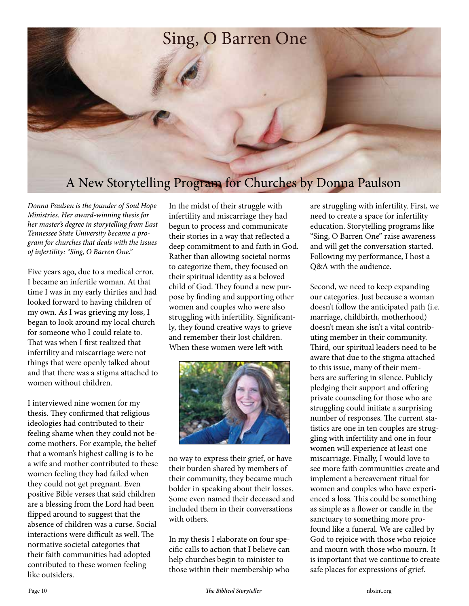# Sing, O Barren One A New Storytelling Program for Churches by Donna Paulson

*Donna Paulsen is the founder of Soul Hope Ministries. Her award-winning thesis for her master's degree in storytelling from East Tennessee State University became a program for churches that deals with the issues of infertility: "Sing, O Barren One."*

Five years ago, due to a medical error, I became an infertile woman. At that time I was in my early thirties and had looked forward to having children of my own. As I was grieving my loss, I began to look around my local church for someone who I could relate to. That was when I first realized that infertility and miscarriage were not things that were openly talked about and that there was a stigma attached to women without children.

I interviewed nine women for my thesis. They confirmed that religious ideologies had contributed to their feeling shame when they could not become mothers. For example, the belief that a woman's highest calling is to be a wife and mother contributed to these women feeling they had failed when they could not get pregnant. Even positive Bible verses that said children are a blessing from the Lord had been flipped around to suggest that the absence of children was a curse. Social interactions were difficult as well. The normative societal categories that their faith communities had adopted contributed to these women feeling like outsiders.

In the midst of their struggle with infertility and miscarriage they had begun to process and communicate their stories in a way that reflected a deep commitment to and faith in God. Rather than allowing societal norms to categorize them, they focused on their spiritual identity as a beloved child of God. They found a new purpose by finding and supporting other women and couples who were also struggling with infertility. Significantly, they found creative ways to grieve and remember their lost children. When these women were left with



no way to express their grief, or have their burden shared by members of their community, they became much bolder in speaking about their losses. Some even named their deceased and included them in their conversations with others.

In my thesis I elaborate on four specific calls to action that I believe can help churches begin to minister to those within their membership who

are struggling with infertility. First, we need to create a space for infertility education. Storytelling programs like "Sing, O Barren One" raise awareness and will get the conversation started. Following my performance, I host a Q&A with the audience.

Second, we need to keep expanding our categories. Just because a woman doesn't follow the anticipated path (i.e. marriage, childbirth, motherhood) doesn't mean she isn't a vital contributing member in their community. Third, our spiritual leaders need to be aware that due to the stigma attached to this issue, many of their members are suffering in silence. Publicly pledging their support and offering private counseling for those who are struggling could initiate a surprising number of responses. The current statistics are one in ten couples are struggling with infertility and one in four women will experience at least one miscarriage. Finally, I would love to see more faith communities create and implement a bereavement ritual for women and couples who have experienced a loss. This could be something as simple as a flower or candle in the sanctuary to something more profound like a funeral. We are called by God to rejoice with those who rejoice and mourn with those who mourn. It is important that we continue to create safe places for expressions of grief.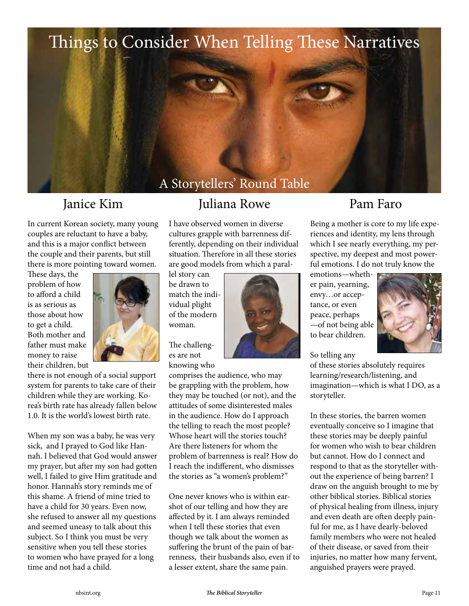

In current Korean society, many young couples are reluctant to have a baby, and this is a major conflict between the couple and their parents, but still there is more pointing toward women.

These days, the problem of how to afford a child is as serious as those about how to get a child. Both mother and father must make money to raise their children, but



there is not enough of a social support system for parents to take care of their children while they are working. Korea's birth rate has already fallen below 1.0. It is the world's lowest birth rate.

When my son was a baby, he was very sick, and I prayed to God like Hannah. I believed that God would answer my prayer, but after my son had gotten well, I failed to give Him gratitude and honor. Hannah's story reminds me of this shame. A friend of mine tried to have a child for 30 years. Even now, she refused to answer all my questions and seemed uneasy to talk about this subject. So I think you must be very sensitive when you tell these stories to women who have prayed for a long time and not had a child.

### Janice Kim Juliana Rowe Pam Faro

I have observed women in diverse cultures grapple with barrenness differently, depending on their individual situation. Therefore in all these stories are good models from which a paral-

lel story can be drawn to match the individual plight of the modern woman.

The challenges are not knowing who

comprises the audience, who may be grappling with the problem, how they may be touched (or not), and the attitudes of some disinterested males in the audience. How do I approach the telling to reach the most people? Whose heart will the stories touch? Are there listeners for whom the problem of barrenness is real? How do I reach the indifferent, who dismisses the stories as "a women's problem?"

One never knows who is within earshot of our telling and how they are affected by it. I am always reminded when I tell these stories that even though we talk about the women as suffering the brunt of the pain of barrenness, their husbands also, even if to a lesser extent, share the same pain.

Being a mother is core to my life experiences and identity, my lens through which I see nearly everything, my perspective, my deepest and most powerful emotions. I do not truly know the

emotions—whether pain, yearning, envy…or acceptance, or even peace, perhaps —of not being able to bear children.



#### So telling any

of these stories absolutely requires learning/research/listening, and imagination—which is what I DO, as a storyteller.

In these stories, the barren women eventually conceive so I imagine that these stories may be deeply painful for women who wish to bear children but cannot. How do I connect and respond to that as the storyteller without the experience of being barren? I draw on the anguish brought to me by other biblical stories. Biblical stories of physical healing from illness, injury and even death are often deeply painful for me, as I have dearly-beloved family members who were not healed of their disease, or saved from their injuries, no matter how many fervent, anguished prayers were prayed.